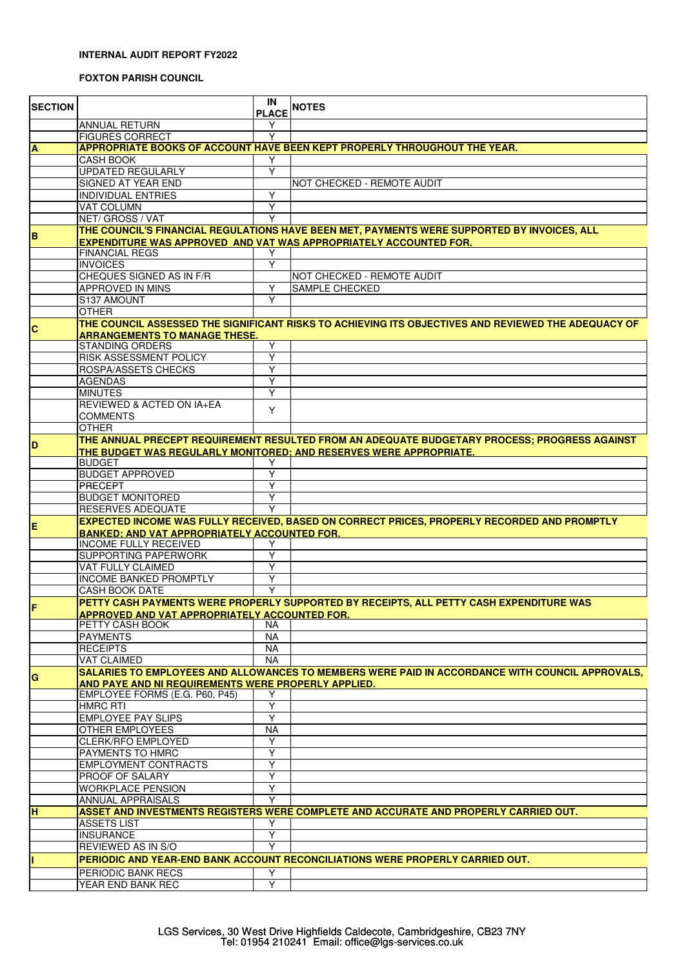## **INTERNAL AUDIT REPORT FY2022**

## **FOXTON PARISH COUNCIL**

| <b>SECTION</b> |                                                                         | IN<br><b>PLACE</b> | <b>NOTES</b>                                                                                        |
|----------------|-------------------------------------------------------------------------|--------------------|-----------------------------------------------------------------------------------------------------|
|                | <b>ANNUAL RETURN</b>                                                    | Y                  |                                                                                                     |
|                | <b>FIGURES CORRECT</b>                                                  | Υ                  |                                                                                                     |
| A              |                                                                         |                    | <b>APPROPRIATE BOOKS OF ACCOUNT HAVE BEEN KEPT PROPERLY THROUGHOUT THE YEAR.</b>                    |
|                | <b>CASH BOOK</b>                                                        | Υ                  |                                                                                                     |
|                | <b>UPDATED REGULARLY</b>                                                | Y                  |                                                                                                     |
|                | <b>SIGNED AT YEAR END</b>                                               |                    | NOT CHECKED - REMOTE AUDIT                                                                          |
|                | <b>INDIVIDUAL ENTRIES</b><br>VAT COLUMN                                 | Υ<br>Υ             |                                                                                                     |
|                | NET/ GROSS / VAT                                                        | Υ                  |                                                                                                     |
|                |                                                                         |                    | THE COUNCIL'S FINANCIAL REGULATIONS HAVE BEEN MET, PAYMENTS WERE SUPPORTED BY INVOICES, ALL         |
| B              |                                                                         |                    | <b>EXPENDITURE WAS APPROVED AND VAT WAS APPROPRIATELY ACCOUNTED FOR.</b>                            |
|                | <b>FINANCIAL REGS</b>                                                   | Y                  |                                                                                                     |
|                | <b>INVOICES</b>                                                         | Y                  |                                                                                                     |
|                | CHEQUES SIGNED AS IN F/R                                                |                    | NOT CHECKED - REMOTE AUDIT                                                                          |
|                | APPROVED IN MINS                                                        | Y                  | <b>SAMPLE CHECKED</b>                                                                               |
|                | S137 AMOUNT                                                             |                    |                                                                                                     |
|                | <b>OTHER</b>                                                            |                    |                                                                                                     |
| $\mathbf c$    |                                                                         |                    | THE COUNCIL ASSESSED THE SIGNIFICANT RISKS TO ACHIEVING ITS OBJECTIVES AND REVIEWED THE ADEQUACY OF |
|                | <b>ARRANGEMENTS TO MANAGE THESE.</b><br><b>STANDING ORDERS</b>          |                    |                                                                                                     |
|                | RISK ASSESSMENT POLICY                                                  | Y<br>Y             |                                                                                                     |
|                | ROSPA/ASSETS CHECKS                                                     | Y                  |                                                                                                     |
|                | <b>AGENDAS</b>                                                          | Υ                  |                                                                                                     |
|                | <b>MINUTES</b>                                                          | Υ                  |                                                                                                     |
|                | REVIEWED & ACTED ON IA+EA                                               |                    |                                                                                                     |
|                | <b>COMMENTS</b>                                                         | Y                  |                                                                                                     |
|                | <b>OTHER</b>                                                            |                    |                                                                                                     |
| D              |                                                                         |                    | THE ANNUAL PRECEPT REQUIREMENT RESULTED FROM AN ADEQUATE BUDGETARY PROCESS; PROGRESS AGAINST        |
|                |                                                                         |                    | THE BUDGET WAS REGULARLY MONITORED; AND RESERVES WERE APPROPRIATE.                                  |
|                | <b>BUDGET</b>                                                           | Y                  |                                                                                                     |
|                | <b>BUDGET APPROVED</b>                                                  | Y                  |                                                                                                     |
|                | <b>PRECEPT</b>                                                          | Y                  |                                                                                                     |
|                | <b>BUDGET MONITORED</b><br><b>RESERVES ADEQUATE</b>                     | Y<br>Υ             |                                                                                                     |
|                |                                                                         |                    | EXPECTED INCOME WAS FULLY RECEIVED, BASED ON CORRECT PRICES, PROPERLY RECORDED AND PROMPTLY         |
| E              | <b>BANKED: AND VAT APPROPRIATELY ACCOUNTED FOR.</b>                     |                    |                                                                                                     |
|                | <b>INCOME FULLY RECEIVED</b>                                            | Y                  |                                                                                                     |
|                | SUPPORTING PAPERWORK                                                    | Y                  |                                                                                                     |
|                | VAT FULLY CLAIMED                                                       | Υ                  |                                                                                                     |
|                | <b>INCOME BANKED PROMPTLY</b>                                           | Y                  |                                                                                                     |
|                | CASH BOOK DATE                                                          | ٧                  |                                                                                                     |
| F              |                                                                         |                    | PETTY CASH PAYMENTS WERE PROPERLY SUPPORTED BY RECEIPTS, ALL PETTY CASH EXPENDITURE WAS             |
|                | <b>APPROVED AND VAT APPROPRIATELY ACCOUNTED FOR.</b><br>PETTY CASH BOOK |                    |                                                                                                     |
|                | <b>PAYMENTS</b>                                                         | NA<br><b>NA</b>    |                                                                                                     |
|                | <b>RECEIPTS</b>                                                         | NA                 |                                                                                                     |
|                | <b>VAT CLAIMED</b>                                                      | <b>NA</b>          |                                                                                                     |
|                |                                                                         |                    | SALARIES TO EMPLOYEES AND ALLOWANCES TO MEMBERS WERE PAID IN ACCORDANCE WITH COUNCIL APPROVALS,     |
| G              | AND PAYE AND NI REQUIREMENTS WERE PROPERLY APPLIED.                     |                    |                                                                                                     |
|                | EMPLOYEE FORMS (E.G. P60, P45)                                          | Y                  |                                                                                                     |
|                | <b>HMRC RTI</b>                                                         | Y                  |                                                                                                     |
|                | <b>EMPLOYEE PAY SLIPS</b>                                               | Y                  |                                                                                                     |
|                | OTHER EMPLOYEES                                                         | <b>NA</b>          |                                                                                                     |
|                | <b>CLERK/RFO EMPLOYED</b>                                               | Y                  |                                                                                                     |
|                | PAYMENTS TO HMRC                                                        | Y                  |                                                                                                     |
|                | EMPLOYMENT CONTRACTS                                                    | Y                  |                                                                                                     |
|                | PROOF OF SALARY                                                         | Υ<br>Y             |                                                                                                     |
|                | <b>WORKPLACE PENSION</b>                                                | Υ                  |                                                                                                     |
| H              | ANNUAL APPRAISALS                                                       |                    | ASSET AND INVESTMENTS REGISTERS WERE COMPLETE AND ACCURATE AND PROPERLY CARRIED OUT.                |
|                | <b>ASSETS LIST</b>                                                      | Y                  |                                                                                                     |
|                | <b>INSURANCE</b>                                                        | Y                  |                                                                                                     |
|                | REVIEWED AS IN S/O                                                      | Υ                  |                                                                                                     |
|                |                                                                         |                    | PERIODIC AND YEAR-END BANK ACCOUNT RECONCILIATIONS WERE PROPERLY CARRIED OUT.                       |
|                | PERIODIC BANK RECS                                                      | Υ                  |                                                                                                     |
|                | YEAR END BANK REC                                                       | Y                  |                                                                                                     |
|                |                                                                         |                    |                                                                                                     |